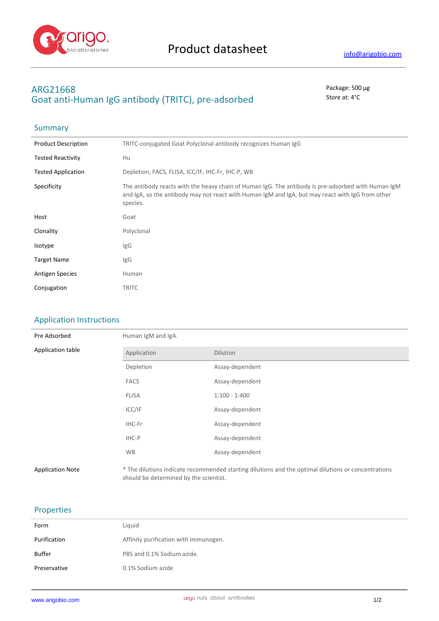

# **ARG21668** Package: 500 μg Goat anti-Human IgG antibody (TRITC), pre-adsorbed store at: 4°C

## **Summary**

| <b>Product Description</b> | TRITC-conjugated Goat Polyclonal antibody recognizes Human IgG                                                                                                                                                     |
|----------------------------|--------------------------------------------------------------------------------------------------------------------------------------------------------------------------------------------------------------------|
| <b>Tested Reactivity</b>   | Hu                                                                                                                                                                                                                 |
| <b>Tested Application</b>  | Depletion, FACS, FLISA, ICC/IF, IHC-Fr, IHC-P, WB                                                                                                                                                                  |
| Specificity                | The antibody reacts with the heavy chain of Human IgG. The antibody is pre-adsorbed with Human IgM<br>and IgA, so the antibody may not react with Human IgM and IgA, but may react with IgG from other<br>species. |
| Host                       | Goat                                                                                                                                                                                                               |
| Clonality                  | Polyclonal                                                                                                                                                                                                         |
| Isotype                    | IgG                                                                                                                                                                                                                |
| <b>Target Name</b>         | IgG                                                                                                                                                                                                                |
| <b>Antigen Species</b>     | Human                                                                                                                                                                                                              |
| Conjugation                | <b>TRITC</b>                                                                                                                                                                                                       |

### Application Instructions

| Pre Adsorbed            | Human IgM and IgA.                     |                                                                                                     |  |
|-------------------------|----------------------------------------|-----------------------------------------------------------------------------------------------------|--|
| Application table       | Application                            | Dilution                                                                                            |  |
|                         | Depletion                              | Assay-dependent                                                                                     |  |
|                         | <b>FACS</b>                            | Assay-dependent                                                                                     |  |
|                         | <b>FLISA</b>                           | $1:100 - 1:400$                                                                                     |  |
|                         | ICC/IF                                 | Assay-dependent                                                                                     |  |
|                         | IHC-Fr                                 | Assay-dependent                                                                                     |  |
|                         | IHC-P                                  | Assay-dependent                                                                                     |  |
|                         | <b>WB</b>                              | Assay-dependent                                                                                     |  |
| <b>Application Note</b> | should be determined by the scientist. | * The dilutions indicate recommended starting dilutions and the optimal dilutions or concentrations |  |

### Properties

| Form                   | Liquid                                          |
|------------------------|-------------------------------------------------|
| Purification           | Affinity purification with immunogen.           |
|                        |                                                 |
|                        |                                                 |
| Buffer<br>Preservative | PBS and 0.1% Sodium azide.<br>0.1% Sodium azide |